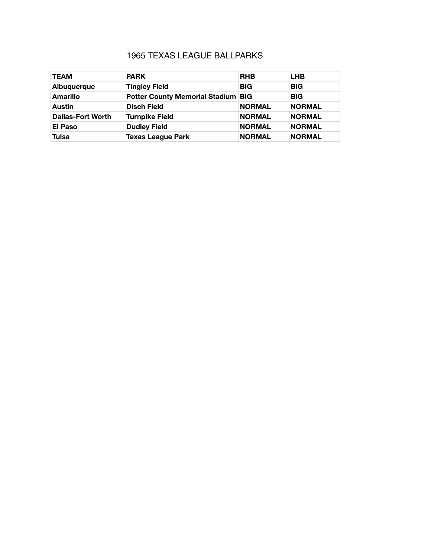## 1965 TEXAS LEAGUE BALLPARKS

| <b>TEAM</b>              | <b>PARK</b>                               | <b>RHB</b>    | <b>LHB</b>    |
|--------------------------|-------------------------------------------|---------------|---------------|
| Albuquerque              | <b>Tingley Field</b>                      | <b>BIG</b>    | <b>BIG</b>    |
| Amarillo                 | <b>Potter County Memorial Stadium BIG</b> |               | <b>BIG</b>    |
| <b>Austin</b>            | <b>Disch Field</b>                        | <b>NORMAL</b> | <b>NORMAL</b> |
| <b>Dallas-Fort Worth</b> | <b>Turnpike Field</b>                     | <b>NORMAL</b> | <b>NORMAL</b> |
| <b>El Paso</b>           | <b>Dudley Field</b>                       | <b>NORMAL</b> | <b>NORMAL</b> |
| <b>Tulsa</b>             | <b>Texas League Park</b>                  | <b>NORMAL</b> | <b>NORMAL</b> |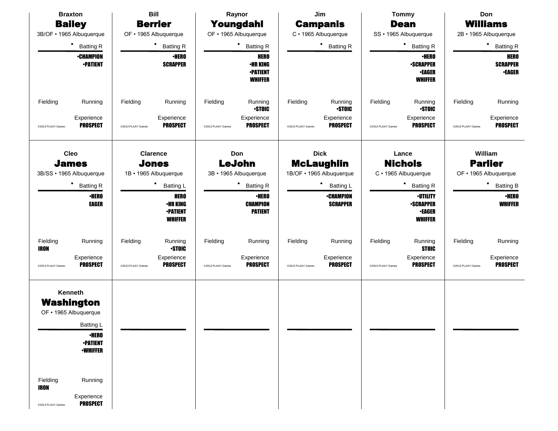| <b>Bill</b><br><b>Braxton</b>                                                                                                                                                                                        |                                                                                                                                              | Raynor                                                                                                                      | Jim                                                                                                              | <b>Tommy</b>                                                                                                                                       | Don                                                                                                           |  |  |
|----------------------------------------------------------------------------------------------------------------------------------------------------------------------------------------------------------------------|----------------------------------------------------------------------------------------------------------------------------------------------|-----------------------------------------------------------------------------------------------------------------------------|------------------------------------------------------------------------------------------------------------------|----------------------------------------------------------------------------------------------------------------------------------------------------|---------------------------------------------------------------------------------------------------------------|--|--|
| <b>Bailey</b>                                                                                                                                                                                                        | <b>Berrier</b>                                                                                                                               | Youngdahl                                                                                                                   | <b>Campanis</b>                                                                                                  | <b>Dean</b>                                                                                                                                        | <b>Williams</b>                                                                                               |  |  |
| 3B/OF · 1965 Albuquerque                                                                                                                                                                                             | OF • 1965 Albuquerque                                                                                                                        | OF • 1965 Albuquerque                                                                                                       | C · 1965 Albuquerque                                                                                             | SS · 1965 Albuquerque                                                                                                                              | 2B · 1965 Albuquerque                                                                                         |  |  |
| ٠<br><b>Batting R</b>                                                                                                                                                                                                | $\bullet$<br><b>Batting R</b>                                                                                                                | ٠<br><b>Batting R</b>                                                                                                       | ٠<br><b>Batting R</b>                                                                                            | * Batting R                                                                                                                                        | ٠<br><b>Batting R</b>                                                                                         |  |  |
| <b>•CHAMPION</b><br><b>-PATIENT</b>                                                                                                                                                                                  | <b>·HERO</b><br><b>SCRAPPER</b>                                                                                                              | <b>HERO</b><br><b>•HR KING</b><br><b>•PATIENT</b><br><b>WHIFFER</b>                                                         |                                                                                                                  | <b>·HERO</b><br><b>-SCRAPPER</b><br><b>-EAGER</b><br><b>WHIFFER</b>                                                                                | <b>HERO</b><br><b>SCRAPPER</b><br><b>•EAGER</b>                                                               |  |  |
| Fielding<br>Running<br>Experience<br><b>PROSPECT</b><br>@2013 PLAAY Games                                                                                                                                            | Fielding<br>Running<br>Experience<br><b>PROSPECT</b><br>@2013 PLAAY Games                                                                    | Fielding<br>Running<br><b>STOIC</b><br>Experience<br><b>PROSPECT</b><br>@2013 PLAAY Games                                   | Fielding<br>Running<br><b>STOIC</b><br>Experience<br><b>PROSPECT</b><br>@2013 PLAAY Games                        | Fielding<br>Running<br><b>STOIC</b><br>Experience<br><b>PROSPECT</b><br>@2013 PLAAY Games                                                          | Fielding<br>Running<br>Experience<br><b>PROSPECT</b><br>@2013 PLAAY Games                                     |  |  |
| Cleo<br><b>James</b><br>3B/SS · 1965 Albuquerque<br>٠<br><b>Batting R</b><br><b>•HERO</b><br><b>EAGER</b>                                                                                                            | <b>Clarence</b><br><b>Jones</b><br>1B · 1965 Albuquerque<br>Batting L<br><b>HERO</b><br><b>•HR KING</b><br><b>-PATIENT</b><br><b>WHIFFER</b> | Don<br><b>LeJohn</b><br>3B · 1965 Albuquerque<br>٠<br><b>Batting R</b><br>$\cdot$ HERO<br><b>CHAMPION</b><br><b>PATIENT</b> | <b>Dick</b><br><b>McLaughlin</b><br>1B/OF · 1965 Albuquerque<br>Batting L<br><b>•CHAMPION</b><br><b>SCRAPPER</b> | Lance<br><b>Nichols</b><br>C · 1965 Albuquerque<br>٠<br><b>Batting R</b><br><b>-UTILITY</b><br><b>-SCRAPPER</b><br><b>•EAGER</b><br><b>WHIFFER</b> | William<br><b>Parlier</b><br>OF • 1965 Albuquerque<br>٠<br><b>Batting B</b><br><b>·HERO</b><br><b>WHIFFER</b> |  |  |
| Fielding<br>Running<br><b>IRON</b><br>Experience<br><b>PROSPECT</b><br>@2013 PLAAY Games                                                                                                                             | Fielding<br>Running<br><b>STOIC</b><br>Experience<br><b>PROSPECT</b><br>@2013 PLAAY Games                                                    | Fielding<br>Running<br>Experience<br><b>PROSPECT</b><br>@2013 PLAAY Games                                                   | Fielding<br>Running<br>Experience<br><b>PROSPECT</b><br>@2013 PLAAY Games                                        | Fielding<br>Running<br><b>STOIC</b><br>Experience<br><b>PROSPECT</b><br>@2013 PLAAY Games                                                          | Fielding<br>Running<br>Experience<br><b>PROSPECT</b><br>@2013 PLAAY Games                                     |  |  |
| Kenneth<br><b>Washington</b><br>OF • 1965 Albuquerque<br>Batting L<br><b>•HERO</b><br><b>•PATIENT</b><br><b>•WHIFFER</b><br>Fielding<br>Running<br><b>IRON</b><br>Experience<br><b>PROSPECT</b><br>@2013 PLAAY Games |                                                                                                                                              |                                                                                                                             |                                                                                                                  |                                                                                                                                                    |                                                                                                               |  |  |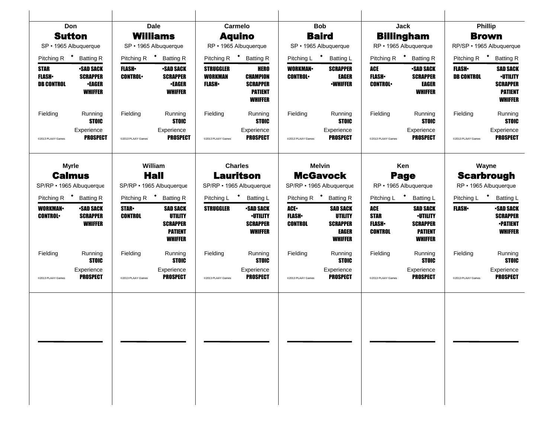| <b>Don</b>                                                |                                                                        |                                  | <b>Dale</b>                                                                              |                                                    | <b>Carmelo</b>                                                                        | <b>Bob</b>                             |                                                                                 |                                                      | Jack                                                                        | <b>Phillip</b>                      |                                                                                           |
|-----------------------------------------------------------|------------------------------------------------------------------------|----------------------------------|------------------------------------------------------------------------------------------|----------------------------------------------------|---------------------------------------------------------------------------------------|----------------------------------------|---------------------------------------------------------------------------------|------------------------------------------------------|-----------------------------------------------------------------------------|-------------------------------------|-------------------------------------------------------------------------------------------|
| <b>Sutton</b>                                             |                                                                        |                                  | <b>Williams</b>                                                                          |                                                    | <b>Aquino</b>                                                                         |                                        | <b>Baird</b>                                                                    |                                                      | <b>Billingham</b>                                                           |                                     | <b>Brown</b>                                                                              |
| SP · 1965 Albuquerque                                     |                                                                        |                                  | SP · 1965 Albuquerque                                                                    |                                                    | RP · 1965 Albuquerque                                                                 |                                        | SP · 1965 Albuquerque                                                           |                                                      | RP · 1965 Albuquerque                                                       |                                     | RP/SP · 1965 Albuquerque                                                                  |
| Pitching R $\bullet$                                      | <b>Batting R</b>                                                       | Pitching R $\bullet$             | <b>Batting R</b>                                                                         | Pitching R                                         | * Batting R                                                                           | Pitching L <sup>+</sup>                | <b>Batting L</b>                                                                | Pitching R                                           | $\ddot{\phantom{1}}$<br><b>Batting R</b>                                    | Pitching R $\bullet$                | <b>Batting R</b>                                                                          |
| <b>STAR</b><br><b>FLASH</b><br><b>DB CONTROL</b>          | <b>-SAD SACK</b><br><b>SCRAPPER</b><br><b>•EAGER</b><br><b>WHIFFER</b> | <b>FLASH</b> •<br><b>CONTROL</b> | <b>-SAD SACK</b><br><b>SCRAPPER</b><br><b>•EAGER</b><br><b>WHIFFER</b>                   | <b>STRUGGLER</b><br><b>WORKMAN</b><br><b>FLASH</b> | <b>HERO</b><br><b>CHAMPION</b><br><b>SCRAPPER</b><br><b>PATIENT</b><br><b>WHIFFER</b> | <b>WORKMAN</b><br><b>CONTROL</b>       | <b>SCRAPPER</b><br><b>EAGER</b><br><b>-WHIFFER</b>                              | ACE<br><b>FLASH</b><br><b>CONTROL</b>                | <b>-SAD SACK</b><br><b>SCRAPPER</b><br>EAGER<br><b>WHIFFER</b>              | <b>FLASH</b> •<br><b>DB CONTROL</b> | <b>SAD SACK</b><br><b>-UTILITY</b><br><b>SCRAPPER</b><br><b>PATIENT</b><br><b>WHIFFER</b> |
| Fielding                                                  | Running<br><b>STOIC</b>                                                | Fielding                         | Running<br><b>STOIC</b>                                                                  | Fielding                                           | Running<br><b>STOIC</b>                                                               | Fielding                               | Running<br><b>STOIC</b>                                                         | Fielding                                             | Running<br><b>STOIC</b>                                                     | Fielding                            | Running<br><b>STOIC</b>                                                                   |
| @2013 PLAAY Games                                         | Experience<br><b>PROSPECT</b>                                          | @2013 PLAAY Games                | Experience<br><b>PROSPECT</b>                                                            | @2013 PLAAY Games                                  | Experience<br><b>PROSPECT</b>                                                         | @2013 PLAAY Games                      | Experience<br><b>PROSPECT</b>                                                   | @2013 PLAAY Games                                    | Experience<br><b>PROSPECT</b>                                               | @2013 PLAAY Games                   | Experience<br><b>PROSPECT</b>                                                             |
| <b>Myrle</b><br><b>Calmus</b><br>SP/RP · 1965 Albuquerque |                                                                        |                                  | William<br><b>Hall</b><br>SP/RP • 1965 Albuquerque                                       |                                                    | <b>Charles</b><br><b>Lauritson</b><br>SP/RP · 1965 Albuquerque                        |                                        | <b>Melvin</b><br><b>McGavock</b><br>SP/RP · 1965 Albuquerque                    |                                                      | Ken<br>Page<br>RP · 1965 Albuquerque                                        |                                     | Wayne<br><b>Scarbrough</b><br>RP · 1965 Albuquerque                                       |
| Pitching R <sup>+</sup>                                   | <b>Batting R</b>                                                       | Pitching R <sup>+</sup>          | <b>Batting R</b>                                                                         | Pitching L <sup>+</sup>                            | <b>Batting L</b>                                                                      |                                        | Pitching R <sup>+</sup> Batting R                                               | Pitching L <sup>+</sup>                              | <b>Batting L</b>                                                            | Pitching L                          | <b>Batting L</b>                                                                          |
| <b>WORKMAN-</b><br><b>CONTROL</b>                         | <b>•SAD SACK</b><br><b>SCRAPPER</b><br><b>WHIFFER</b>                  | <b>STAR</b><br><b>CONTROL</b>    | <b>SAD SACK</b><br><b>UTILITY</b><br><b>SCRAPPER</b><br><b>PATIENT</b><br><b>WHIFFER</b> | <b>STRUGGLER</b>                                   | <b>-SAD SACK</b><br><b>·UTILITY</b><br><b>SCRAPPER</b><br><b>WHIFFER</b>              | ACE.<br><b>FLASH</b><br><b>CONTROL</b> | <b>SAD SACK</b><br>UTILITY<br><b>SCRAPPER</b><br><b>EAGER</b><br><b>WHIFFER</b> | ACE<br><b>STAR</b><br><b>FLASH</b><br><b>CONTROL</b> | SAD SACK<br><b>-UTILITY</b><br><b>SCRAPPER</b><br><b>PATIENT</b><br>WHIFFER | <b>FLASH</b>                        | <b>•SAD SACK</b><br><b>SCRAPPER</b><br><b>-PATIENT</b><br><b>WHIFFER</b>                  |
| Fielding                                                  | Running<br><b>STOIC</b>                                                | Fielding                         | Running<br><b>STOIC</b>                                                                  | Fielding                                           | Running<br><b>STOIC</b>                                                               | Fielding                               | Running<br><b>STOIC</b>                                                         | Fielding                                             | Running<br><b>STOIC</b>                                                     | Fielding                            | Running<br><b>STOIC</b>                                                                   |
| @2013 PLAAY Games                                         | Experience<br><b>PROSPECT</b>                                          | @2013 PLAAY Games                | Experience<br><b>PROSPECT</b>                                                            | @2013 PLAAY Games                                  | Experience<br><b>PROSPECT</b>                                                         | @2013 PLAAY Games                      | Experience<br><b>PROSPECT</b>                                                   | @2013 PLAAY Games                                    | Experience<br><b>PROSPECT</b>                                               | @2013 PLAAY Games                   | Experience<br><b>PROSPECT</b>                                                             |
|                                                           |                                                                        |                                  |                                                                                          |                                                    |                                                                                       |                                        |                                                                                 |                                                      |                                                                             |                                     |                                                                                           |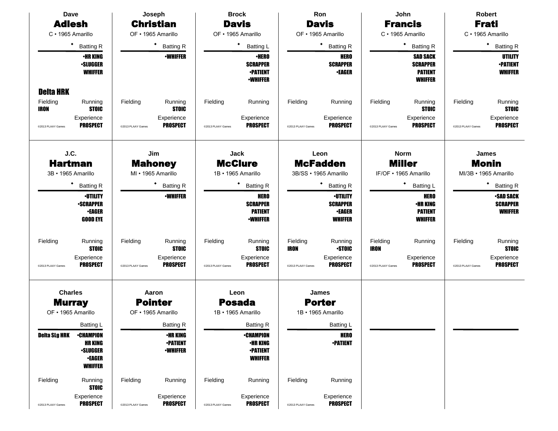| <b>Dave</b>                                                                                                                   | Joseph<br><b>Brock</b>                                                                      |                                                                                              | Ron                                                                                                      | John                                                                                      | <b>Robert</b>                                                                             |  |  |
|-------------------------------------------------------------------------------------------------------------------------------|---------------------------------------------------------------------------------------------|----------------------------------------------------------------------------------------------|----------------------------------------------------------------------------------------------------------|-------------------------------------------------------------------------------------------|-------------------------------------------------------------------------------------------|--|--|
| <b>Adlesh</b>                                                                                                                 | <b>Christian</b>                                                                            | <b>Davis</b>                                                                                 | <b>Davis</b>                                                                                             | <b>Francis</b>                                                                            | <b>Frati</b>                                                                              |  |  |
| C · 1965 Amarillo                                                                                                             | OF · 1965 Amarillo                                                                          | OF • 1965 Amarillo                                                                           | OF • 1965 Amarillo                                                                                       | C · 1965 Amarillo                                                                         | C · 1965 Amarillo                                                                         |  |  |
| ٠<br><b>Batting R</b>                                                                                                         | $\bullet$<br><b>Batting R</b>                                                               | ٠<br><b>Batting L</b>                                                                        | ٠<br><b>Batting R</b>                                                                                    | $\bullet$<br><b>Batting R</b>                                                             | ٠<br><b>Batting R</b>                                                                     |  |  |
| <b>•HR KING</b><br><b>•SLUGGER</b><br><b>WHIFFER</b>                                                                          | <b>-WHIFFER</b>                                                                             | <b>·HERO</b><br><b>SCRAPPER</b><br><b>-PATIENT</b><br><b>•WHIFFER</b>                        | <b>HERO</b><br><b>SCRAPPER</b><br><b>•EAGER</b>                                                          | <b>SAD SACK</b><br><b>SCRAPPER</b><br><b>PATIENT</b><br><b>WHIFFER</b>                    | <b>UTILITY</b><br><b>-PATIENT</b><br><b>WHIFFER</b>                                       |  |  |
| <b>Delta HRK</b><br>Fielding<br>Running<br><b>STOIC</b><br>IRON<br>Experience<br><b>PROSPECT</b><br>@2013 PLAAY Games         | Fielding<br>Running<br><b>STOIC</b><br>Experience<br><b>PROSPECT</b><br>@2013 PLAAY Games   | Fielding<br>Running<br>Experience<br><b>PROSPECT</b><br>@2013 PLAAY Games                    | Fielding<br>Running<br>Experience<br><b>PROSPECT</b><br>@2013 PLAAY Games                                | Fielding<br>Running<br><b>STOIC</b><br>Experience<br><b>PROSPECT</b><br>@2013 PLAAY Games | Fielding<br>Running<br><b>STOIC</b><br>Experience<br><b>PROSPECT</b><br>@2013 PLAAY Games |  |  |
| J.C.<br><b>Hartman</b><br>3B · 1965 Amarillo                                                                                  | Jim<br>Jack<br><b>McClure</b><br><b>Mahoney</b><br>MI · 1965 Amarillo<br>1B · 1965 Amarillo |                                                                                              | Leon<br><b>McFadden</b><br>3B/SS · 1965 Amarillo                                                         | <b>Norm</b><br><b>Miller</b><br>IF/OF . 1965 Amarillo                                     | James<br><b>Monin</b><br>MI/3B · 1965 Amarillo                                            |  |  |
| ٠<br><b>Batting R</b>                                                                                                         | <b>Batting R</b>                                                                            | ٠<br><b>Batting R</b>                                                                        | <b>Batting R</b>                                                                                         | ٠<br><b>Batting L</b>                                                                     | <b>Batting R</b>                                                                          |  |  |
| <b>·UTILITY</b><br><b>•SCRAPPER</b><br>•EAGER<br><b>GOOD EYE</b>                                                              | <b>-WHIFFER</b>                                                                             | <b>HERO</b><br><b>SCRAPPER</b><br><b>PATIENT</b><br><b>•WHIFFER</b>                          | <b>-UTILITY</b><br><b>SCRAPPER</b><br><b>•EAGER</b><br><b>WHIFFER</b>                                    | <b>HERO</b><br>•HR KING<br><b>PATIENT</b><br><b>WHIFFER</b>                               | <b>•SAD SACK</b><br><b>SCRAPPER</b><br><b>WHIFFER</b>                                     |  |  |
| Fielding<br>Running<br><b>STOIC</b><br>Experience<br><b>PROSPECT</b><br>@2013 PLAAY Games                                     | Running<br>Fielding<br><b>STOIC</b><br>Experience<br><b>PROSPECT</b><br>@2013 PLAAY Games   | Fielding<br>Running<br><b>STOIC</b><br>Experience<br><b>PROSPECT</b><br>@2013 PLAAY Games    | Fielding<br>Running<br><b>IRON</b><br><b>STOIC</b><br>Experience<br><b>PROSPECT</b><br>@2013 PLAAY Games | Fielding<br>Running<br><b>IRON</b><br>Experience<br><b>PROSPECT</b><br>@2013 PLAAY Games  | Fielding<br>Running<br><b>STOIC</b><br>Experience<br><b>PROSPECT</b><br>@2013 PLAAY Games |  |  |
| <b>Charles</b>                                                                                                                | Aaron                                                                                       | Leon                                                                                         | James                                                                                                    |                                                                                           |                                                                                           |  |  |
| <b>Murray</b><br>OF • 1965 Amarillo                                                                                           | <b>Pointer</b><br>OF • 1965 Amarillo                                                        | <b>Posada</b><br>1B · 1965 Amarillo                                                          | <b>Porter</b><br>1B · 1965 Amarillo                                                                      |                                                                                           |                                                                                           |  |  |
|                                                                                                                               |                                                                                             |                                                                                              |                                                                                                          |                                                                                           |                                                                                           |  |  |
| Batting L<br><b>Deita SLg HRK</b><br><b>•CHAMPION</b><br><b>HR KING</b><br><b>•SLUGGER</b><br><b>•EAGER</b><br><b>WHIFFER</b> | <b>Batting R</b><br><b>•HR KING</b><br><b>•PATIENT</b><br><b>-WHIFFER</b>                   | <b>Batting R</b><br><b>•CHAMPION</b><br><b>•HR KING</b><br><b>•PATIENT</b><br><b>WHIFFER</b> | Batting L<br><b>HERO</b><br><b>•PATIENT</b>                                                              |                                                                                           |                                                                                           |  |  |
| Fielding<br>Running<br><b>STOIC</b>                                                                                           | Fielding<br>Running                                                                         | Fielding<br>Running                                                                          | Fielding<br>Running                                                                                      |                                                                                           |                                                                                           |  |  |
| Experience<br><b>PROSPECT</b><br>@2013 PLAAY Games                                                                            | Experience<br><b>PROSPECT</b><br>@2013 PLAAY Games                                          | Experience<br><b>PROSPECT</b><br>@2013 PLAAY Games                                           | Experience<br><b>PROSPECT</b><br>@2013 PLAAY Games                                                       |                                                                                           |                                                                                           |  |  |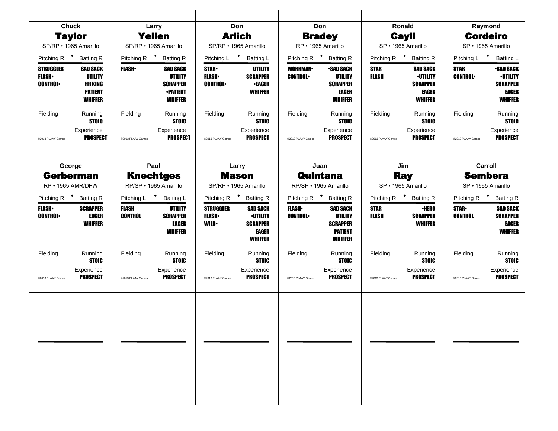| <b>Chuck</b>                                       |                                                                                         |                                | Larry                                                                                     |                                                 | Don                                                                                     | Don                               |                                                                                          | Ronald                      |                                                                                  |                               | Raymond                                                                           |
|----------------------------------------------------|-----------------------------------------------------------------------------------------|--------------------------------|-------------------------------------------------------------------------------------------|-------------------------------------------------|-----------------------------------------------------------------------------------------|-----------------------------------|------------------------------------------------------------------------------------------|-----------------------------|----------------------------------------------------------------------------------|-------------------------------|-----------------------------------------------------------------------------------|
| <b>Taylor</b>                                      |                                                                                         |                                | <b>Yellen</b>                                                                             |                                                 | <b>Arlich</b>                                                                           |                                   | <b>Bradey</b>                                                                            |                             | <b>Cayll</b>                                                                     | <b>Cordeiro</b>               |                                                                                   |
| SP/RP · 1965 Amarillo                              |                                                                                         | SP/RP · 1965 Amarillo          |                                                                                           |                                                 | SP/RP · 1965 Amarillo                                                                   |                                   | RP · 1965 Amarillo                                                                       |                             | SP · 1965 Amarillo                                                               |                               | SP · 1965 Amarillo                                                                |
| Pitching R <sup>+</sup> Batting R                  |                                                                                         | Pitching R <sup>+</sup>        | <b>Batting R</b>                                                                          |                                                 | Pitching L * Batting L                                                                  |                                   | Pitching R <sup>+</sup> Batting R                                                        |                             | Pitching R <sup>+</sup> Batting R                                                |                               | Pitching L * Batting L                                                            |
| <b>STRUGGLER</b><br><b>FLASH</b><br><b>CONTROL</b> | <b>SAD SACK</b><br><b>UTILITY</b><br><b>HR KING</b><br><b>PATIENT</b><br><b>WHIFFER</b> | <b>FLASH</b>                   | <b>SAD SACK</b><br><b>UTILITY</b><br><b>SCRAPPER</b><br><b>•PATIENT</b><br><b>WHIFFER</b> | <b>STAR</b><br><b>FLASH</b><br><b>CONTROL</b>   | UTILITY<br><b>SCRAPPER</b><br><b>•EAGER</b><br><b>WHIFFER</b>                           | <b>WORKMAN-</b><br><b>CONTROL</b> | <b>-SAD SACK</b><br><b>UTILITY</b><br><b>SCRAPPER</b><br><b>EAGER</b><br><b>WHIFFER</b>  | <b>STAR</b><br><b>FLASH</b> | <b>SAD SACK</b><br><b>·UTILITY</b><br><b>SCRAPPER</b><br>EAGER<br><b>WHIFFER</b> | <b>STAR</b><br><b>CONTROL</b> | <b>-SAD SACK</b><br><b>-UTILITY</b><br><b>SCRAPPER</b><br>EAGER<br><b>WHIFFER</b> |
| Fielding                                           | Running<br><b>STOIC</b>                                                                 | Fielding                       | Running<br><b>STOIC</b>                                                                   | Fielding                                        | Running<br><b>STOIC</b>                                                                 | Fielding                          | Running<br><b>STOIC</b>                                                                  | Fielding                    | Running<br><b>STOIC</b>                                                          | Fielding                      | Running<br><b>STOIC</b>                                                           |
| @2013 PLAAY Games                                  | Experience<br><b>PROSPECT</b>                                                           | @2013 PLAAY Games              | Experience<br><b>PROSPECT</b>                                                             | @2013 PLAAY Games                               | Experience<br><b>PROSPECT</b>                                                           | @2013 PLAAY Games                 | Experience<br><b>PROSPECT</b>                                                            | @2013 PLAAY Games           | Experience<br><b>PROSPECT</b>                                                    | @2013 PLAAY Games             | Experience<br><b>PROSPECT</b>                                                     |
| George                                             |                                                                                         | Paul                           |                                                                                           |                                                 | Larry                                                                                   |                                   | Juan                                                                                     |                             | Jim                                                                              |                               | Carroll                                                                           |
| <b>Gerberman</b><br>RP · 1965 AMR/DFW              |                                                                                         | RP/SP · 1965 Amarillo          | <b>Knechtges</b>                                                                          |                                                 | <b>Mason</b><br>SP/RP · 1965 Amarillo                                                   |                                   | Quintana<br>RP/SP · 1965 Amarillo                                                        |                             | <b>Ray</b><br>SP · 1965 Amarillo                                                 |                               | <b>Sembera</b><br>SP · 1965 Amarillo                                              |
| Pitching R <sup>+</sup> Batting R                  |                                                                                         | Pitching L <sup>+</sup>        | <b>Batting L</b>                                                                          | Pitching R <sup>+</sup> Batting R               |                                                                                         |                                   | Pitching R <sup>+</sup> Batting R                                                        |                             | Pitching R <sup>+</sup> Batting R                                                | Pitching R <sup>+</sup>       | <b>Batting R</b>                                                                  |
| <b>FLASH</b> •<br><b>CONTROL</b>                   | <b>SCRAPPER</b><br><b>EAGER</b><br><b>WHIFFER</b>                                       | <b>FLASH</b><br><b>CONTROL</b> | UTILITY<br><b>SCRAPPER</b><br><b>EAGER</b><br><b>WHIFFER</b>                              | <b>STRUGGLER</b><br><b>FLASH</b><br><b>WILD</b> | <b>SAD SACK</b><br><b>-UTILITY</b><br><b>SCRAPPER</b><br><b>EAGER</b><br><b>WHIFFER</b> | <b>FLASH</b><br><b>CONTROL</b>    | <b>SAD SACK</b><br><b>UTILITY</b><br><b>SCRAPPER</b><br><b>PATIENT</b><br><b>WHIFFER</b> | <b>STAR</b><br><b>FLASH</b> | <b>•HERO</b><br><b>SCRAPPER</b><br><b>WHIFFER</b>                                | <b>STAR</b><br><b>CONTROL</b> | <b>SAD SACK</b><br><b>SCRAPPER</b><br>EAGER<br><b>WHIFFER</b>                     |
| Fielding                                           | Running<br><b>STOIC</b>                                                                 | Fielding                       | Running<br><b>STOIC</b>                                                                   | Fielding                                        | Running<br><b>STOIC</b>                                                                 | Fielding                          | Running<br><b>STOIC</b>                                                                  | Fielding                    | Running<br><b>STOIC</b>                                                          | Fielding                      | Running<br><b>STOIC</b>                                                           |
| @2013 PLAAY Games                                  | Experience<br><b>PROSPECT</b>                                                           | @2013 PLAAY Games              | Experience<br><b>PROSPECT</b>                                                             | @2013 PLAAY Games                               | Experience<br><b>PROSPECT</b>                                                           | @2013 PLAAY Games                 | Experience<br><b>PROSPECT</b>                                                            | @2013 PLAAY Games           | Experience<br><b>PROSPECT</b>                                                    | @2013 PLAAY Games             | Experience<br><b>PROSPECT</b>                                                     |
|                                                    |                                                                                         |                                |                                                                                           |                                                 |                                                                                         |                                   |                                                                                          |                             |                                                                                  |                               |                                                                                   |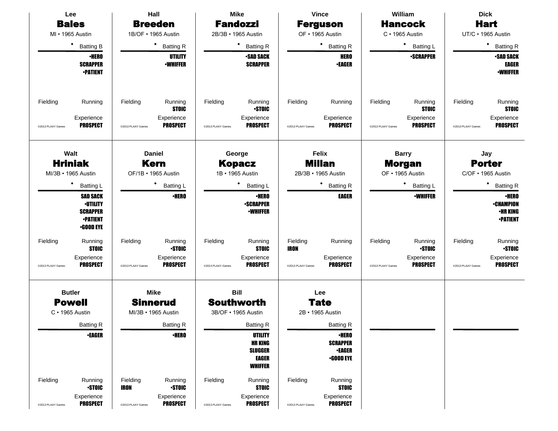|                                               | Hall<br>Lee                                                                                  |                               |                                                          | <b>Mike</b>                   |                                                                                      | <b>Vince</b>                  |                                                                      | William                       | <b>Dick</b>                                              |                               |                                                                        |
|-----------------------------------------------|----------------------------------------------------------------------------------------------|-------------------------------|----------------------------------------------------------|-------------------------------|--------------------------------------------------------------------------------------|-------------------------------|----------------------------------------------------------------------|-------------------------------|----------------------------------------------------------|-------------------------------|------------------------------------------------------------------------|
| <b>Bales</b>                                  |                                                                                              |                               | <b>Breeden</b>                                           |                               | <b>Fandozzi</b>                                                                      |                               | <b>Ferguson</b>                                                      |                               | <b>Hancock</b>                                           |                               | <b>Hart</b>                                                            |
| MI • 1965 Austin                              |                                                                                              |                               | 1B/OF • 1965 Austin                                      |                               | 2B/3B · 1965 Austin                                                                  |                               | OF · 1965 Austin                                                     |                               | $C \cdot 1965$ Austin                                    |                               | UT/C · 1965 Austin                                                     |
| $\bullet$                                     | <b>Batting B</b>                                                                             |                               | ٠<br><b>Batting R</b>                                    |                               | ٠<br><b>Batting R</b>                                                                |                               | * Batting R                                                          |                               | $\bullet$<br><b>Batting L</b>                            |                               | $\bullet$<br><b>Batting R</b>                                          |
|                                               | <b>•HERO</b><br><b>SCRAPPER</b><br><b>•PATIENT</b>                                           |                               | <b>UTILITY</b><br><b>-WHIFFER</b>                        |                               | <b>-SAD SACK</b><br><b>SCRAPPER</b>                                                  |                               | <b>HERO</b><br><b>•EAGER</b>                                         |                               | <b>-SCRAPPER</b>                                         |                               | <b>SAD SACK</b><br><b>EAGER</b><br><b>-WHIFFER</b>                     |
| Fielding<br>@2013 PLAAY Games                 | Running<br>Experience<br><b>PROSPECT</b>                                                     | Fielding<br>@2013 PLAAY Games | Running<br><b>STOIC</b><br>Experience<br><b>PROSPECT</b> | Fielding<br>@2013 PLAAY Games | Running<br><b>STOIC</b><br>Experience<br><b>PROSPECT</b>                             | Fielding<br>@2013 PLAAY Games | Running<br>Experience<br><b>PROSPECT</b>                             | Fielding<br>@2013 PLAAY Games | Running<br><b>STOIC</b><br>Experience<br><b>PROSPECT</b> | Fielding<br>@2013 PLAAY Games | Running<br><b>STOIC</b><br>Experience<br><b>PROSPECT</b>               |
| Walt<br><b>Hriniak</b><br>MI/3B · 1965 Austin |                                                                                              |                               | <b>Daniel</b><br><b>Kern</b><br>OF/1B • 1965 Austin      |                               | George<br><b>Kopacz</b><br>1B • 1965 Austin                                          |                               | <b>Felix</b><br><b>Millan</b><br>2B/3B · 1965 Austin                 |                               | <b>Barry</b><br><b>Morgan</b><br>OF • 1965 Austin        |                               | Jay<br><b>Porter</b><br>C/OF • 1965 Austin                             |
| ٠                                             | <b>Batting L</b>                                                                             |                               | ٠<br><b>Batting L</b>                                    |                               | ٠<br><b>Batting L</b>                                                                |                               | * Batting R                                                          |                               | <b>Batting L</b>                                         |                               | ٠<br><b>Batting R</b>                                                  |
|                                               | <b>SAD SACK</b><br><b>-UTILITY</b><br><b>SCRAPPER</b><br><b>-PATIENT</b><br><b>-GOOD EYE</b> |                               | <b>•HERO</b>                                             |                               | <b>•HERO</b><br><b>-SCRAPPER</b><br><b>•WHIFFER</b>                                  |                               | <b>EAGER</b>                                                         |                               | <b>-WHIFFER</b>                                          |                               | <b>•HERO</b><br><b>•CHAMPION</b><br><b>•HR KING</b><br><b>-PATIENT</b> |
| Fielding                                      | Running<br><b>STOIC</b>                                                                      | Fielding                      | Running<br><b>STOIC</b>                                  | Fielding                      | Running<br><b>STOIC</b>                                                              | Fielding<br><b>IRON</b>       | Running                                                              | Fielding                      | Running<br><b>-STOIC</b>                                 | Fielding                      | Running<br><b>STOIC</b>                                                |
| @2013 PLAAY Games                             | Experience<br><b>PROSPECT</b>                                                                | @2013 PLAAY Games             | Experience<br><b>PROSPECT</b>                            | @2013 PLAAY Games             | Experience<br><b>PROSPECT</b>                                                        | @2013 PLAAY Games             | Experience<br><b>PROSPECT</b>                                        | @2013 PLAAY Games             | Experience<br><b>PROSPECT</b>                            | @2013 PLAAY Games             | Experience<br><b>PROSPECT</b>                                          |
| <b>Butler</b>                                 |                                                                                              |                               | <b>Mike</b>                                              |                               | <b>Bill</b>                                                                          |                               | Lee                                                                  |                               |                                                          |                               |                                                                        |
| <b>Powell</b>                                 |                                                                                              |                               | <b>Sinnerud</b>                                          |                               | <b>Southworth</b>                                                                    |                               | <b>Tate</b>                                                          |                               |                                                          |                               |                                                                        |
| $C \cdot 1965$ Austin                         |                                                                                              |                               | MI/3B • 1965 Austin                                      |                               | 3B/OF • 1965 Austin                                                                  |                               | 2B · 1965 Austin                                                     |                               |                                                          |                               |                                                                        |
|                                               | <b>Batting R</b>                                                                             |                               | <b>Batting R</b>                                         |                               | <b>Batting R</b>                                                                     |                               | Batting R                                                            |                               |                                                          |                               |                                                                        |
|                                               | <b>*EAGER</b>                                                                                |                               | <b>·HERO</b>                                             |                               | <b>UTILITY</b><br><b>HR KING</b><br><b>SLUGGER</b><br><b>EAGER</b><br><b>WHIFFER</b> |                               | <b>•HERO</b><br><b>SCRAPPER</b><br><b>•EAGER</b><br>$\cdot$ GOOD EYE |                               |                                                          |                               |                                                                        |
| Fielding                                      | Running<br><b>STOIC</b>                                                                      | Fielding<br><b>IRON</b>       | Running<br><b>STOIC</b>                                  | Fielding                      | Running<br><b>STOIC</b>                                                              | Fielding                      | Running<br><b>STOIC</b>                                              |                               |                                                          |                               |                                                                        |
| @2013 PLAAY Games                             | Experience<br><b>PROSPECT</b>                                                                | @2013 PLAAY Games             | Experience<br><b>PROSPECT</b>                            | @2013 PLAAY Games             | Experience<br><b>PROSPECT</b>                                                        | @2013 PLAAY Games             | Experience<br><b>PROSPECT</b>                                        |                               |                                                          |                               |                                                                        |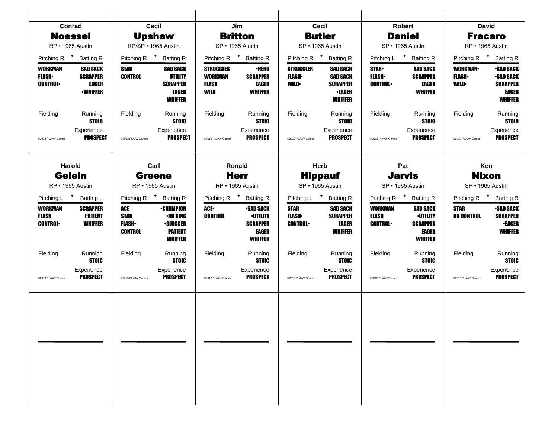| Conrad                                      |                                                                |                                                      | <b>Cecil</b>                                                                               |                                                            | Jim                                                                                      |                                                   | Cecil                                                                                    |                                                  | <b>Robert</b>                                                                    |                                                   | <b>David</b>                                                                       |
|---------------------------------------------|----------------------------------------------------------------|------------------------------------------------------|--------------------------------------------------------------------------------------------|------------------------------------------------------------|------------------------------------------------------------------------------------------|---------------------------------------------------|------------------------------------------------------------------------------------------|--------------------------------------------------|----------------------------------------------------------------------------------|---------------------------------------------------|------------------------------------------------------------------------------------|
| <b>Noessel</b>                              |                                                                |                                                      | <b>Upshaw</b>                                                                              |                                                            | <b>Britton</b>                                                                           |                                                   | <b>Butler</b>                                                                            |                                                  | <b>Daniel</b>                                                                    | <b>Fracaro</b>                                    |                                                                                    |
| RP · 1965 Austin                            |                                                                |                                                      | RP/SP · 1965 Austin                                                                        |                                                            | SP · 1965 Austin                                                                         |                                                   | SP · 1965 Austin                                                                         |                                                  | SP · 1965 Austin                                                                 |                                                   | RP · 1965 Austin                                                                   |
| Pitching R <sup>+</sup> Batting R           |                                                                |                                                      | Pitching R <sup>+</sup> Batting R                                                          | Pitching R <sup>+</sup> Batting R                          |                                                                                          |                                                   | Pitching R <sup>+</sup> Batting R                                                        |                                                  | Pitching L * Batting R                                                           |                                                   | Pitching R <sup>+</sup> Batting R                                                  |
| WORKMAN<br><b>FLASH</b> •<br><b>CONTROL</b> | <b>SAD SACK</b><br><b>SCRAPPER</b><br>EAGER<br><b>•WHIFFER</b> | <b>STAR</b><br><b>CONTROL</b>                        | <b>SAD SACK</b><br>UTILITY<br><b>SCRAPPER</b><br>EAGER<br><b>WHIFFER</b>                   | <b>STRUGGLER</b><br><b>WORKMAN</b><br><b>FLASH</b><br>WILD | <b>·HERO</b><br><b>SCRAPPER</b><br><b>EAGER</b><br><b>WHIFFER</b>                        | <b>STRUGGLER</b><br><b>FLASH</b> •<br><b>WILD</b> | <b>SAD SACK</b><br><b>SAD SACK</b><br><b>SCRAPPER</b><br><b>•EAGER</b><br><b>WHIFFER</b> | <b>STAR</b> •<br><b>FLASH</b><br><b>CONTROL</b>  | <b>SAD SACK</b><br><b>SCRAPPER</b><br><b>EAGER</b><br><b>WHIFFER</b>             | <b>WORKMAN-</b><br><b>FLASH</b> •<br><b>WILD•</b> | <b>•SAD SACK</b><br><b>•SAD SACK</b><br><b>SCRAPPER</b><br>EAGER<br><b>WHIFFER</b> |
| Fielding                                    | Running<br><b>STOIC</b>                                        | Fielding                                             | Running<br><b>STOIC</b>                                                                    | Fielding                                                   | Running<br><b>STOIC</b>                                                                  | Fielding                                          | Running<br><b>STOIC</b>                                                                  | Fielding                                         | Running<br><b>STOIC</b>                                                          | Fielding                                          | Running<br><b>STOIC</b>                                                            |
| @2013 PLAAY Games                           | Experience<br><b>PROSPECT</b>                                  | @2013 PLAAY Games                                    | Experience<br>PROSPECT                                                                     | @2013 PLAAY Games                                          | Experience<br><b>PROSPECT</b>                                                            | @2013 PLAAY Games                                 | Experience<br><b>PROSPECT</b>                                                            | @2013 PLAAY Games                                | Experience<br><b>PROSPECT</b>                                                    | @2013 PLAAY Games                                 | Experience<br><b>PROSPECT</b>                                                      |
| Harold                                      |                                                                |                                                      | Carl                                                                                       |                                                            | Ronald                                                                                   |                                                   | Herb                                                                                     |                                                  | Pat                                                                              |                                                   | Ken                                                                                |
| <b>Gelein</b>                               |                                                                | <b>Greene</b>                                        |                                                                                            | <b>Herr</b>                                                |                                                                                          | <b>Hippauf</b>                                    |                                                                                          | <b>Jarvis</b>                                    |                                                                                  | <b>Nixon</b>                                      |                                                                                    |
| RP · 1965 Austin                            |                                                                |                                                      | RP · 1965 Austin                                                                           |                                                            | RP • 1965 Austin                                                                         | SP · 1965 Austin                                  |                                                                                          | SP · 1965 Austin                                 |                                                                                  | SP · 1965 Austin                                  |                                                                                    |
| Pitching L <sup>+</sup> Batting L           |                                                                |                                                      | Pitching R <sup>+</sup> Batting R                                                          |                                                            | Pitching R <sup>+</sup> Batting R                                                        |                                                   | Pitching L <sup>+</sup> Batting R                                                        |                                                  | Pitching R <sup>+</sup> Batting R                                                |                                                   | Pitching R <sup>+</sup> Batting R                                                  |
| WORKMAN<br><b>FLASH</b><br><b>CONTROL</b>   | <b>SCRAPPER</b><br><b>PATIENT</b><br><b>WHIFFER</b>            | ACE<br><b>STAR</b><br><b>FLASH</b><br><b>CONTROL</b> | <b>•CHAMPION</b><br><b>•HR KING</b><br><b>·SLUGGER</b><br><b>PATIENT</b><br><b>WHIFFER</b> | ACE.<br><b>CONTROL</b>                                     | <b>-SAD SACK</b><br><b>-UTILITY</b><br><b>SCRAPPER</b><br><b>EAGER</b><br><b>WHIFFER</b> | <b>STAR</b><br><b>FLASH</b><br><b>CONTROL</b>     | <b>SAD SACK</b><br><b>SCRAPPER</b><br><b>EAGER</b><br><b>WHIFFER</b>                     | <b>WORKMAN</b><br><b>FLASH</b><br><b>CONTROL</b> | <b>SAD SACK</b><br><b>•UTILITY</b><br><b>SCRAPPER</b><br>EAGER<br><b>WHIFFER</b> | <b>STAR</b><br><b>DB CONTROL</b>                  | <b>-SAD SACK</b><br><b>SCRAPPER</b><br><b>•EAGER</b><br><b>WHIFFER</b>             |
| Fielding                                    | Running<br><b>STOIC</b>                                        | Fielding                                             | Running<br><b>STOIC</b>                                                                    | Fielding                                                   | Running<br><b>STOIC</b>                                                                  | Fielding                                          | Running<br><b>STOIC</b>                                                                  | Fielding                                         | Running<br><b>STOIC</b>                                                          | Fielding                                          | Running<br><b>STOIC</b>                                                            |
| @2013 PLAAY Games                           | Experience<br><b>PROSPECT</b>                                  | @2013 PLAAY Games                                    | Experience<br><b>PROSPECT</b>                                                              | @2013 PLAAY Games                                          | Experience<br><b>PROSPECT</b>                                                            | @2013 PLAAY Games                                 | Experience<br><b>PROSPECT</b>                                                            | @2013 PLAAY Games                                | Experience<br><b>PROSPECT</b>                                                    | @2013 PLAAY Games                                 | Experience<br><b>PROSPECT</b>                                                      |
|                                             |                                                                |                                                      |                                                                                            |                                                            |                                                                                          |                                                   |                                                                                          |                                                  |                                                                                  |                                                   |                                                                                    |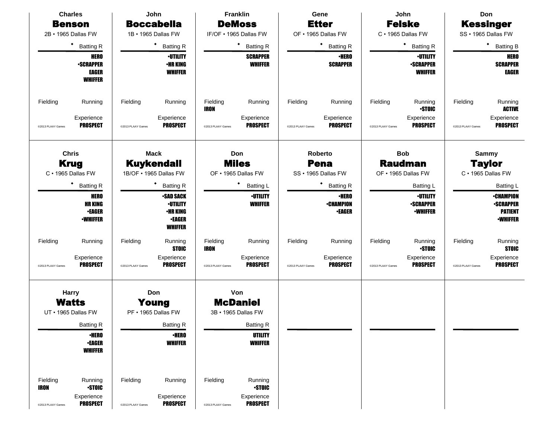| <b>Charles</b>                                      |                                                                                                          |                               | John                                                                                      |                                            | Franklin                                                 |                                        | Gene                                              |                                                     | John                                                   |                   | Don                                                                       |
|-----------------------------------------------------|----------------------------------------------------------------------------------------------------------|-------------------------------|-------------------------------------------------------------------------------------------|--------------------------------------------|----------------------------------------------------------|----------------------------------------|---------------------------------------------------|-----------------------------------------------------|--------------------------------------------------------|-------------------|---------------------------------------------------------------------------|
| <b>Benson</b>                                       |                                                                                                          |                               | <b>Boccabella</b>                                                                         |                                            | <b>DeMoss</b>                                            |                                        | <b>Etter</b>                                      |                                                     | <b>Felske</b>                                          |                   | <b>Kessinger</b>                                                          |
| 2B · 1965 Dallas FW                                 |                                                                                                          |                               | 1B · 1965 Dallas FW                                                                       |                                            | IF/OF . 1965 Dallas FW                                   |                                        | OF . 1965 Dallas FW                               |                                                     | C · 1965 Dallas FW                                     |                   | SS · 1965 Dallas FW                                                       |
|                                                     | $\bullet$<br><b>Batting R</b>                                                                            |                               | ٠<br><b>Batting R</b>                                                                     |                                            | $\bullet$<br><b>Batting R</b>                            |                                        | $\bullet$<br><b>Batting R</b>                     |                                                     | $\bullet$<br><b>Batting R</b>                          |                   | ٠<br><b>Batting B</b>                                                     |
|                                                     | <b>HERO</b><br><b>-SCRAPPER</b><br><b>EAGER</b><br><b>WHIFFER</b>                                        |                               | <b>-UTILITY</b><br><b>•HR KING</b><br><b>WHIFFER</b>                                      |                                            | <b>SCRAPPER</b><br><b>WHIFFER</b>                        |                                        | <b>•HERO</b><br><b>SCRAPPER</b>                   |                                                     | <b>-UTILITY</b><br><b>-SCRAPPER</b><br><b>WHIFFER</b>  |                   | <b>HERO</b><br><b>SCRAPPER</b><br><b>EAGER</b>                            |
| Fielding                                            | Running                                                                                                  | Fielding                      | Running                                                                                   | Fielding<br><b>IRON</b>                    | Running                                                  | Fielding                               | Running                                           | Fielding                                            | Running<br><b>STOIC</b>                                | Fielding          | Running<br><b>ACTIVE</b>                                                  |
| @2013 PLAAY Games                                   | Experience<br><b>PROSPECT</b>                                                                            | @2013 PLAAY Games             | Experience<br><b>PROSPECT</b>                                                             | @2013 PLAAY Games                          | Experience<br><b>PROSPECT</b>                            | @2013 PLAAY Games                      | Experience<br><b>PROSPECT</b>                     | @2013 PLAAY Games                                   | Experience<br><b>PROSPECT</b>                          | @2013 PLAAY Games | Experience<br><b>PROSPECT</b>                                             |
|                                                     | <b>Chris</b><br>Mack<br><b>Kuykendall</b><br><b>Krug</b><br>C · 1965 Dallas FW<br>1B/OF . 1965 Dallas FW |                               |                                                                                           | Don<br><b>Miles</b><br>OF . 1965 Dallas FW |                                                          | Roberto<br>Pena<br>SS · 1965 Dallas FW |                                                   | <b>Bob</b><br><b>Raudman</b><br>OF . 1965 Dallas FW | <b>Sammy</b><br><b>Taylor</b><br>C · 1965 Dallas FW    |                   |                                                                           |
|                                                     | $\bullet$<br><b>Batting R</b>                                                                            |                               | <b>Batting R</b>                                                                          | <b>Batting L</b>                           |                                                          |                                        | ٠<br><b>Batting R</b>                             |                                                     | Batting L                                              |                   | <b>Batting L</b>                                                          |
|                                                     | <b>HERO</b><br><b>HR KING</b><br><b>•EAGER</b><br><b>•WHIFFER</b>                                        |                               | <b>-SAD SACK</b><br><b>-UTILITY</b><br><b>•HR KING</b><br><b>•EAGER</b><br><b>WHIFFER</b> |                                            | <b>-UTILITY</b><br><b>WHIFFER</b>                        |                                        | <b>•HERO</b><br><b>•CHAMPION</b><br><b>•EAGER</b> |                                                     | <b>·UTILITY</b><br><b>-SCRAPPER</b><br><b>-WHIFFER</b> |                   | <b>-CHAMPION</b><br><b>-SCRAPPER</b><br><b>PATIENT</b><br><b>•WHIFFER</b> |
| Fielding                                            | Running                                                                                                  | Fielding                      | Running<br><b>STOIC</b>                                                                   | Fielding<br><b>IRON</b>                    | Running                                                  | Fielding                               | Running                                           | Fielding                                            | Running<br><b>STOIC</b>                                | Fielding          | Running<br><b>STOIC</b>                                                   |
| @2013 PLAAY Games                                   | Experience<br><b>PROSPECT</b>                                                                            | @2013 PLAAY Games             | Experience<br><b>PROSPECT</b>                                                             | @2013 PLAAY Games                          | Experience<br><b>PROSPECT</b>                            | @2013 PLAAY Games                      | Experience<br><b>PROSPECT</b>                     | @2013 PLAAY Games                                   | Experience<br><b>PROSPECT</b>                          | @2013 PLAAY Games | Experience<br><b>PROSPECT</b>                                             |
| <b>Harry</b><br><b>Watts</b><br>UT · 1965 Dallas FW |                                                                                                          |                               | Don<br>Young<br>PF • 1965 Dallas FW                                                       |                                            | Von<br><b>McDaniel</b><br>3B · 1965 Dallas FW            |                                        |                                                   |                                                     |                                                        |                   |                                                                           |
|                                                     | <b>Batting R</b>                                                                                         |                               | <b>Batting R</b>                                                                          |                                            | <b>Batting R</b>                                         |                                        |                                                   |                                                     |                                                        |                   |                                                                           |
|                                                     | $\cdot$ HERO<br><b>•EAGER</b><br><b>WHIFFER</b>                                                          |                               | <b>•HERO</b><br><b>WHIFFER</b>                                                            |                                            | <b>UTILITY</b><br><b>WHIFFER</b>                         |                                        |                                                   |                                                     |                                                        |                   |                                                                           |
| Fielding<br>IRON<br>@2013 PLAAY Games               | Running<br><b>STOIC</b><br>Experience<br><b>PROSPECT</b>                                                 | Fielding<br>@2013 PLAAY Games | Running<br>Experience<br><b>PROSPECT</b>                                                  | Fielding<br>@2013 PLAAY Games              | Running<br><b>STOIC</b><br>Experience<br><b>PROSPECT</b> |                                        |                                                   |                                                     |                                                        |                   |                                                                           |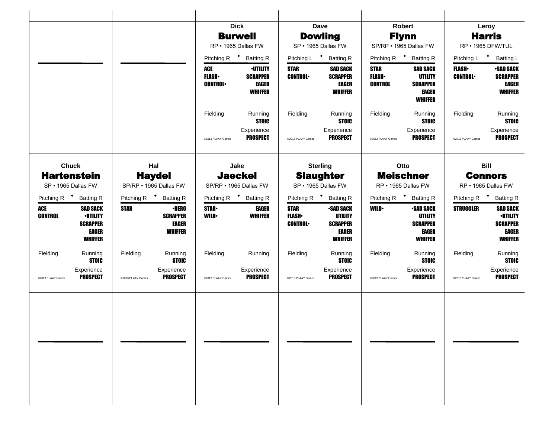|                                           |                                                                                  |                   |                                                            |                                              | <b>Dick</b>                                                          |                                               | <b>Dave</b>                                                                             |                                               | <b>Robert</b>                                                                   |                                  | Leroy                                                                            |
|-------------------------------------------|----------------------------------------------------------------------------------|-------------------|------------------------------------------------------------|----------------------------------------------|----------------------------------------------------------------------|-----------------------------------------------|-----------------------------------------------------------------------------------------|-----------------------------------------------|---------------------------------------------------------------------------------|----------------------------------|----------------------------------------------------------------------------------|
|                                           |                                                                                  |                   |                                                            |                                              | <b>Burwell</b>                                                       |                                               | <b>Dowling</b>                                                                          |                                               | <b>Flynn</b>                                                                    |                                  | <b>Harris</b>                                                                    |
|                                           |                                                                                  |                   |                                                            |                                              | RP · 1965 Dallas FW                                                  |                                               | SP · 1965 Dallas FW                                                                     |                                               | SP/RP . 1965 Dallas FW                                                          |                                  | RP · 1965 DFW/TUL                                                                |
|                                           |                                                                                  |                   |                                                            |                                              | Pitching R <sup>+</sup> Batting R                                    |                                               | Pitching L <sup>+</sup> Batting R                                                       |                                               | Pitching R <sup>+</sup> Batting R                                               | Pitching L <sup>+</sup>          | <b>Batting L</b>                                                                 |
|                                           |                                                                                  |                   |                                                            | <b>ACE</b><br><b>FLASH</b><br><b>CONTROL</b> | <b>·UTILITY</b><br><b>SCRAPPER</b><br><b>EAGER</b><br><b>WHIFFER</b> | <b>STAR</b><br><b>CONTROL</b>                 | <b>SAD SACK</b><br><b>SCRAPPER</b><br><b>EAGER</b><br><b>WHIFFER</b>                    | <b>STAR</b><br><b>FLASH</b><br><b>CONTROL</b> | <b>SAD SACK</b><br><b>UTILITY</b><br><b>SCRAPPER</b><br>EAGER<br><b>WHIFFER</b> | <b>FLASH</b> •<br><b>CONTROL</b> | <b>-SAD SACK</b><br><b>SCRAPPER</b><br>EAGER<br><b>WHIFFER</b>                   |
|                                           |                                                                                  |                   |                                                            | Fielding                                     | Running<br><b>STOIC</b>                                              | Fielding                                      | Running<br><b>STOIC</b>                                                                 | Fielding                                      | Running<br><b>STOIC</b>                                                         | Fielding                         | Running<br><b>STOIC</b>                                                          |
|                                           |                                                                                  |                   |                                                            | @2013 PLAAY Games                            | Experience<br><b>PROSPECT</b>                                        | @2013 PLAAY Games                             | Experience<br><b>PROSPECT</b>                                                           | @2013 PLAAY Games                             | Experience<br><b>PROSPECT</b>                                                   | @2013 PLAAY Games                | Experience<br><b>PROSPECT</b>                                                    |
| <b>Chuck</b>                              |                                                                                  |                   | Hal                                                        |                                              | Jake                                                                 |                                               | <b>Sterling</b>                                                                         |                                               | Otto                                                                            |                                  | <b>Bill</b>                                                                      |
| <b>Hartenstein</b><br>SP · 1965 Dallas FW |                                                                                  |                   | <b>Haydel</b><br>SP/RP . 1965 Dallas FW                    |                                              | <b>Jaeckel</b><br>SP/RP . 1965 Dallas FW                             | <b>Slaughter</b><br>SP · 1965 Dallas FW       |                                                                                         | <b>Meischner</b><br>RP · 1965 Dallas FW       |                                                                                 |                                  | <b>Connors</b><br>RP · 1965 Dallas FW                                            |
| Pitching R <sup>+</sup>                   | <b>Batting R</b>                                                                 |                   | Pitching R <sup>+</sup> Batting R                          |                                              | Pitching R <sup>+</sup> Batting R                                    |                                               | Pitching R <sup>+</sup> Batting R                                                       |                                               | Pitching R <sup>+</sup> Batting R                                               |                                  | Pitching R <sup>+</sup> Batting R                                                |
| <b>ACE</b><br><b>CONTROL</b>              | <b>SAD SACK</b><br><b>·UTILITY</b><br><b>SCRAPPER</b><br>EAGER<br><b>WHIFFER</b> | <b>STAR</b>       | <b>·HERO</b><br><b>SCRAPPER</b><br>EAGER<br><b>WHIFFER</b> | <b>STAR</b><br><b>WILD</b>                   | <b>EAGER</b><br><b>WHIFFER</b>                                       | <b>STAR</b><br><b>FLASH</b><br><b>CONTROL</b> | <b>-SAD SACK</b><br><b>UTILITY</b><br><b>SCRAPPER</b><br><b>EAGER</b><br><b>WHIFFER</b> | <b>WILD</b>                                   | <b>-SAD SACK</b><br><b>UTILITY</b><br><b>SCRAPPER</b><br>EAGER<br>WHIFFER       | <b>STRUGGLER</b>                 | <b>SAD SACK</b><br><b>·UTILITY</b><br><b>SCRAPPER</b><br>EAGER<br><b>WHIFFER</b> |
| Fielding                                  | Running<br><b>STOIC</b>                                                          | Fielding          | Running<br><b>STOIC</b>                                    | Fielding                                     | Running                                                              | Fielding                                      | Running<br><b>STOIC</b>                                                                 | Fielding                                      | Running<br><b>STOIC</b>                                                         | Fielding                         | Running<br><b>STOIC</b>                                                          |
| @2013 PLAAY Games                         | Experience<br><b>PROSPECT</b>                                                    | @2013 PLAAY Games | Experience<br><b>PROSPECT</b>                              | @2013 PLAAY Games                            | Experience<br><b>PROSPECT</b>                                        | @2013 PLAAY Games                             | Experience<br><b>PROSPECT</b>                                                           | @2013 PLAAY Games                             | Experience<br><b>PROSPECT</b>                                                   | @2013 PLAAY Games                | Experience<br><b>PROSPECT</b>                                                    |
|                                           |                                                                                  |                   |                                                            |                                              |                                                                      |                                               |                                                                                         |                                               |                                                                                 |                                  |                                                                                  |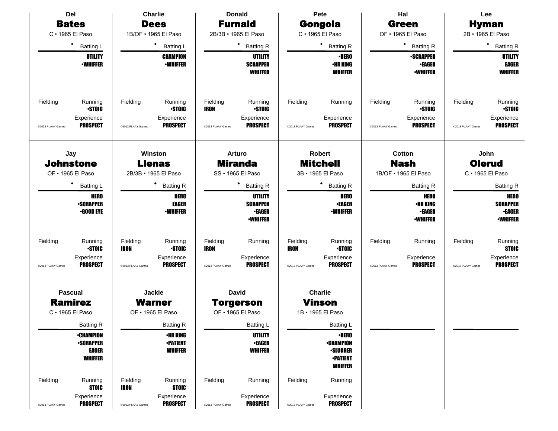| Del                              |                                                                       | <b>Charlie</b>                               |                                                          | <b>Donald</b>                                        |                                                                       | Pete                                                  |                                                                                          | Hal                                           |                                                                    |                               | Lee                                                                |
|----------------------------------|-----------------------------------------------------------------------|----------------------------------------------|----------------------------------------------------------|------------------------------------------------------|-----------------------------------------------------------------------|-------------------------------------------------------|------------------------------------------------------------------------------------------|-----------------------------------------------|--------------------------------------------------------------------|-------------------------------|--------------------------------------------------------------------|
| <b>Bates</b>                     |                                                                       |                                              | <b>Dees</b>                                              |                                                      | <b>Furnald</b>                                                        |                                                       | Gongola                                                                                  |                                               | <b>Green</b>                                                       |                               | <b>Hyman</b>                                                       |
| C · 1965 El Paso                 |                                                                       |                                              | 1B/OF . 1965 El Paso                                     |                                                      | 2B/3B · 1965 El Paso                                                  |                                                       | C · 1965 El Paso                                                                         |                                               | OF • 1965 El Paso                                                  |                               | 2B · 1965 El Paso                                                  |
| $\bullet$                        | <b>Batting L</b>                                                      |                                              | ٠<br><b>Batting L</b>                                    |                                                      | ٠<br><b>Batting R</b>                                                 |                                                       | ٠<br><b>Batting R</b>                                                                    |                                               | $\bullet$<br><b>Batting R</b>                                      |                               | $\bullet$<br><b>Batting R</b>                                      |
|                                  | <b>UTILITY</b><br><b><i>•WHIFFER</i></b>                              |                                              | <b>CHAMPION</b><br><b>•WHIFFER</b>                       |                                                      | <b>UTILITY</b><br><b>SCRAPPER</b><br><b>WHIFFER</b>                   |                                                       | <b>·HERO</b><br><b>•HR KING</b><br><b>WHIFFER</b>                                        |                                               | <b>•SCRAPPER</b><br><b>•EAGER</b><br><b>-WHIFFER</b>               |                               | <b>UTILITY</b><br>EAGER<br><b>WHIFFER</b>                          |
| Fielding<br>@2013 PLAAY Games    | Running<br><b>STOIC</b><br>Experience<br><b>PROSPECT</b>              | Fielding<br>@2013 PLAAY Games                | Running<br><b>STOIC</b><br>Experience<br><b>PROSPECT</b> | Fielding<br><b>IRON</b><br>@2013 PLAAY Games         | Running<br><b>STOIC</b><br>Experience<br><b>PROSPECT</b>              | Fielding<br>@2013 PLAAY Games                         | Running<br>Experience<br><b>PROSPECT</b>                                                 | Fielding<br>@2013 PLAAY Games                 | Running<br><b>STOIC</b><br>Experience<br><b>PROSPECT</b>           | Fielding<br>@2013 PLAAY Games | Running<br><b>STOIC</b><br>Experience<br><b>PROSPECT</b>           |
| Jay<br><b>Johnstone</b>          | Winston<br><b>Llenas</b><br>OF . 1965 El Paso<br>2B/3B · 1965 El Paso |                                              |                                                          | <b>Arturo</b><br><b>Miranda</b><br>SS · 1965 El Paso |                                                                       | <b>Robert</b><br><b>Mitchell</b><br>3B · 1965 El Paso |                                                                                          | Cotton<br><b>Nash</b><br>1B/OF . 1965 El Paso | John<br><b>Olerud</b><br>C · 1965 El Paso                          |                               |                                                                    |
| ٠                                | <b>Batting L</b>                                                      |                                              | <b>Batting R</b>                                         | ٠<br><b>Batting R</b>                                |                                                                       | ٠<br><b>Batting R</b>                                 |                                                                                          | <b>Batting R</b>                              |                                                                    |                               | <b>Batting R</b>                                                   |
|                                  | <b>HERO</b><br><b>-SCRAPPER</b><br><b>•GOOD EYE</b>                   |                                              | <b>HERO</b><br><b>EAGER</b><br><b>•WHIFFER</b>           |                                                      | <b>UTILITY</b><br><b>SCRAPPER</b><br><b>•EAGER</b><br><b>•WHIFFER</b> |                                                       | <b>HERO</b><br><b>•EAGER</b><br><b>-WHIFFER</b>                                          |                                               | <b>HERO</b><br><b>•HR KING</b><br><b>•EAGER</b><br><b>-WHIFFER</b> |                               | <b>HERO</b><br><b>SCRAPPER</b><br><b>•EAGER</b><br><b>-WHIFFER</b> |
| Fielding<br>@2013 PLAAY Games    | Running<br><b>-STOIC</b><br>Experience<br><b>PROSPECT</b>             | Fielding<br><b>IRON</b><br>@2013 PLAAY Games | Running<br><b>STOIC</b><br>Experience<br><b>PROSPECT</b> | Fielding<br><b>IRON</b><br>@2013 PLAAY Games         | Running<br>Experience<br><b>PROSPECT</b>                              | Fielding<br><b>IRON</b><br>@2013 PLAAY Games          | Running<br><b>STOIC</b><br>Experience<br><b>PROSPECT</b>                                 | Fielding<br>@2013 PLAAY Games                 | Running<br>Experience<br><b>PROSPECT</b>                           | Fielding<br>@2013 PLAAY Games | Running<br><b>STOIC</b><br>Experience<br><b>PROSPECT</b>           |
| <b>Pascual</b><br><b>Ramirez</b> |                                                                       |                                              | Jackie<br><b>Warner</b>                                  |                                                      | <b>David</b><br><b>Torgerson</b>                                      |                                                       | <b>Charlie</b><br>Vinson                                                                 |                                               |                                                                    |                               |                                                                    |
| C · 1965 El Paso                 |                                                                       |                                              | OF • 1965 El Paso                                        |                                                      | OF • 1965 El Paso                                                     |                                                       | 1B · 1965 El Paso                                                                        |                                               |                                                                    |                               |                                                                    |
|                                  | <b>Batting R</b>                                                      |                                              | <b>Batting R</b>                                         |                                                      | Batting L                                                             |                                                       | Batting L                                                                                |                                               |                                                                    |                               |                                                                    |
|                                  | <b>•CHAMPION</b><br><b>-SCRAPPER</b><br>EAGER<br><b>WHIFFER</b>       |                                              | <b>•HR KING</b><br><b>•PATIENT</b><br><b>WHIFFER</b>     |                                                      | <b>UTILITY</b><br><b>•EAGER</b><br><b>WHIFFER</b>                     |                                                       | <b>•HERO</b><br><b>•CHAMPION</b><br><b>•SLUGGER</b><br><b>-PATIENT</b><br><b>WHIFFER</b> |                                               |                                                                    |                               |                                                                    |
| Fielding                         | Running<br><b>STOIC</b>                                               | Fielding<br><b>IRON</b>                      | Running<br><b>STOIC</b>                                  | Fielding                                             | Running                                                               | Fielding                                              | Running                                                                                  |                                               |                                                                    |                               |                                                                    |
| @2013 PLAAY Games                | Experience<br><b>PROSPECT</b>                                         | @2013 PLAAY Games                            | Experience<br><b>PROSPECT</b>                            | @2013 PLAAY Games                                    | Experience<br><b>PROSPECT</b>                                         | @2013 PLAAY Games                                     | Experience<br><b>PROSPECT</b>                                                            |                                               |                                                                    |                               |                                                                    |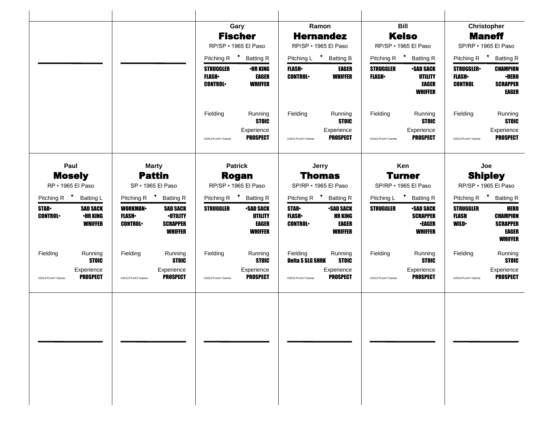|                         |                                    |                                |                                                      |                                                    | Gary                                              | Ramon                                 |                                                  |                                       | <b>Bill</b>                                                   | Christopher                                           |                                                                      |
|-------------------------|------------------------------------|--------------------------------|------------------------------------------------------|----------------------------------------------------|---------------------------------------------------|---------------------------------------|--------------------------------------------------|---------------------------------------|---------------------------------------------------------------|-------------------------------------------------------|----------------------------------------------------------------------|
|                         |                                    |                                |                                                      |                                                    | <b>Fischer</b>                                    | <b>Hernandez</b>                      |                                                  |                                       | <b>Kelso</b>                                                  |                                                       | <b>Maneff</b>                                                        |
|                         |                                    |                                |                                                      |                                                    | RP/SP · 1965 El Paso                              | RP/SP · 1965 El Paso                  |                                                  |                                       | RP/SP · 1965 El Paso                                          |                                                       | SP/RP · 1965 El Paso                                                 |
|                         |                                    |                                |                                                      |                                                    | Pitching R <sup>+</sup> Batting R                 | Pitching L <sup>+</sup> Batting B     |                                                  |                                       | Pitching R <sup>+</sup> Batting R                             |                                                       | Pitching R <sup>+</sup> Batting R                                    |
|                         |                                    |                                |                                                      | <b>STRUGGLER</b><br><b>FLASH</b><br><b>CONTROL</b> | <b>•HR KING</b><br><b>EAGER</b><br><b>WHIFFER</b> | <b>FLASH</b> •<br><b>CONTROL</b>      | <b>EAGER</b><br><b>WHIFFER</b>                   | <b>STRUGGLER</b><br><b>FLASH</b> •    | <b>•SAD SACK</b><br><b>UTILITY</b><br>EAGER<br><b>WHIFFER</b> | <b>STRUGGLER•</b><br><b>FLASH</b> •<br><b>CONTROL</b> | <b>CHAMPION</b><br><b>•HERO</b><br><b>SCRAPPER</b><br>EAGER          |
|                         |                                    |                                |                                                      | Fielding                                           | Running<br><b>STOIC</b>                           | Fielding                              | Running<br><b>STOIC</b>                          | Fielding                              | Running<br><b>STOIC</b>                                       | Fielding                                              | Running<br><b>STOIC</b>                                              |
|                         |                                    |                                |                                                      | @2013 PLAAY Games                                  | Experience<br><b>PROSPECT</b>                     | @2013 PLAAY Games                     | Experience<br><b>PROSPECT</b>                    | @2013 PLAAY Games                     | Experience<br><b>PROSPECT</b>                                 | @2013 PLAAY Games                                     | Experience<br><b>PROSPECT</b>                                        |
|                         | Paul                               |                                | <b>Marty</b>                                         |                                                    | <b>Patrick</b>                                    | Jerry                                 |                                                  |                                       | Ken                                                           |                                                       | Joe                                                                  |
|                         | <b>Mosely</b><br>RP · 1965 El Paso |                                | <b>Pattin</b><br>SP · 1965 El Paso                   |                                                    | <b>Rogan</b><br>RP/SP · 1965 El Paso              | <b>Thomas</b><br>SP/RP · 1965 El Paso |                                                  | <b>Turner</b><br>SP/RP · 1965 El Paso |                                                               | <b>Shipley</b><br>RP/SP · 1965 El Paso                |                                                                      |
| Pitching R <sup>+</sup> | <b>Batting L</b>                   |                                | Pitching R <sup>+</sup> Batting R                    |                                                    | Pitching R <sup>+</sup> Batting R                 | Pitching R <sup>+</sup> Batting R     |                                                  | Pitching L <sup>+</sup> Batting R     |                                                               |                                                       | Pitching R + Batting R                                               |
| <b>STAR</b>             | <b>SAD SACK</b>                    | <b>WORKMAN</b>                 | <b>SAD SACK</b>                                      | <b>STRUGGLER</b>                                   | <b>-SAD SACK</b>                                  | <b>STAR</b>                           | <b>-SAD SACK</b>                                 | <b>STRUGGLER</b>                      | <b>•SAD SACK</b>                                              | <b>STRUGGLER</b>                                      | <b>HERO</b>                                                          |
| <b>CONTROL</b>          | <b>•HR KING</b><br><b>WHIFFER</b>  | <b>FLASH</b><br><b>CONTROL</b> | <b>-UTILITY</b><br><b>SCRAPPER</b><br><b>WHIFFER</b> |                                                    | <b>UTILITY</b><br><b>EAGER</b><br><b>WHIFFER</b>  | <b>FLASH</b><br><b>CONTROL</b>        | <b>HR KING</b><br><b>EAGER</b><br><b>WHIFFER</b> |                                       | <b>SCRAPPER</b><br><b>•EAGER</b><br>WHIFFER                   | <b>FLASH</b><br><b>WILD</b>                           | <b>CHAMPION</b><br><b>SCRAPPER</b><br><b>EAGER</b><br><b>WHIFFER</b> |
| Fielding                | Running<br><b>STOIC</b>            | Fielding                       | Running<br><b>STOIC</b>                              | Fielding                                           | Running<br><b>STOIC</b>                           | Fielding<br><b>Deita S SLG SHRK</b>   | Running<br><b>STOIC</b>                          | Fielding                              | Running<br><b>STOIC</b>                                       | Fielding                                              | Running<br><b>STOIC</b>                                              |
| @2013 PLAAY Games       | Experience<br><b>PROSPECT</b>      | @2013 PLAAY Games              | Experience<br><b>PROSPECT</b>                        | @2013 PLAAY Games                                  | Experience<br><b>PROSPECT</b>                     | @2013 PLAAY Games                     | Experience<br><b>PROSPECT</b>                    | @2013 PLAAY Games                     | Experience<br><b>PROSPECT</b>                                 | @2013 PLAAY Games                                     | Experience<br><b>PROSPECT</b>                                        |
|                         |                                    |                                |                                                      |                                                    |                                                   |                                       |                                                  |                                       |                                                               |                                                       |                                                                      |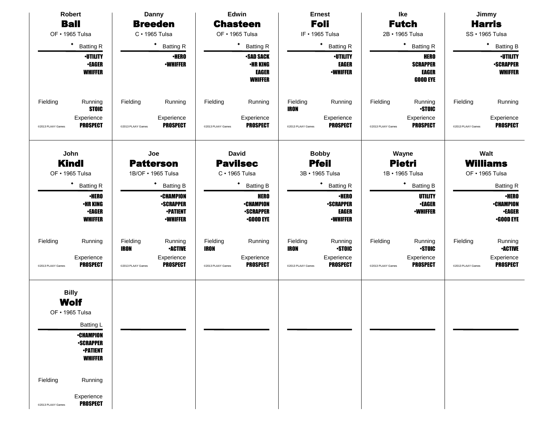| <b>Robert</b>                                                                   |                                                                                                                                           |                                              | Danny                                                                      |                                              | Edwin                                                                   |                                              | <b>Ernest</b>                                                       |                               | Ike                                                               |                               | Jimmy                                                                 |
|---------------------------------------------------------------------------------|-------------------------------------------------------------------------------------------------------------------------------------------|----------------------------------------------|----------------------------------------------------------------------------|----------------------------------------------|-------------------------------------------------------------------------|----------------------------------------------|---------------------------------------------------------------------|-------------------------------|-------------------------------------------------------------------|-------------------------------|-----------------------------------------------------------------------|
| <b>Ball</b>                                                                     |                                                                                                                                           |                                              | <b>Breeden</b>                                                             |                                              | <b>Chasteen</b>                                                         |                                              | <b>Foli</b>                                                         |                               | <b>Futch</b>                                                      |                               | <b>Harris</b>                                                         |
| OF · 1965 Tulsa                                                                 |                                                                                                                                           |                                              | C · 1965 Tulsa                                                             |                                              | OF · 1965 Tulsa                                                         |                                              | IF . 1965 Tulsa                                                     |                               | 2B · 1965 Tulsa                                                   |                               | SS · 1965 Tulsa                                                       |
| $\bullet$                                                                       | <b>Batting R</b>                                                                                                                          |                                              | ٠<br><b>Batting R</b>                                                      |                                              | ٠<br><b>Batting R</b>                                                   |                                              | $\bullet$<br><b>Batting R</b>                                       |                               | $\bullet$<br><b>Batting R</b>                                     |                               | $\bullet$<br><b>Batting B</b>                                         |
|                                                                                 | <b>-UTILITY</b><br><b>•EAGER</b><br><b>WHIFFER</b>                                                                                        |                                              | <b>-HERO</b><br><b>-WHIFFER</b>                                            |                                              | <b>-SAD SACK</b><br>•HR KING<br><b>EAGER</b><br><b>WHIFFER</b>          |                                              | <b>-UTILITY</b><br><b>EAGER</b><br><b>•WHIFFER</b>                  |                               | <b>HERO</b><br><b>SCRAPPER</b><br><b>EAGER</b><br><b>GOOD EYE</b> |                               | <b>-UTILITY</b><br><b>-SCRAPPER</b><br><b>WHIFFER</b>                 |
| Fielding                                                                        | Running<br><b>STOIC</b>                                                                                                                   | Fielding                                     | Running                                                                    | Fielding                                     | Running                                                                 | Fielding<br><b>IRON</b>                      | Running                                                             | Fielding                      | Running<br><b>STOIC</b>                                           | Fielding                      | Running                                                               |
| @2013 PLAAY Games                                                               | Experience<br><b>PROSPECT</b>                                                                                                             | @2013 PLAAY Games                            | Experience<br><b>PROSPECT</b>                                              | @2013 PLAAY Games                            | Experience<br><b>PROSPECT</b>                                           | @2013 PLAAY Games                            | Experience<br><b>PROSPECT</b>                                       | @2013 PLAAY Games             | Experience<br><b>PROSPECT</b>                                     | @2013 PLAAY Games             | Experience<br><b>PROSPECT</b>                                         |
| John<br><b>Kindl</b><br>OF · 1965 Tulsa                                         |                                                                                                                                           |                                              | Joe<br><b>Patterson</b><br>1B/OF • 1965 Tulsa                              |                                              | <b>David</b><br><b>Pavilsec</b><br>C · 1965 Tulsa                       |                                              | <b>Bobby</b><br><b>Pfeil</b><br>3B · 1965 Tulsa                     |                               | Wayne<br><b>Pietri</b><br>1B • 1965 Tulsa                         |                               | Walt<br><b>Williams</b><br>OF • 1965 Tulsa                            |
| ٠                                                                               | <b>Batting R</b>                                                                                                                          |                                              | <b>Batting B</b>                                                           |                                              | $\blacklozenge$<br><b>Batting B</b>                                     |                                              | ٠<br><b>Batting R</b>                                               | $\bullet$<br><b>Batting B</b> |                                                                   |                               | <b>Batting R</b>                                                      |
|                                                                                 | <b>•HERO</b><br><b><i>•HR KING</i></b><br><b>-EAGER</b><br><b>WHIFFER</b>                                                                 |                                              | <b>•CHAMPION</b><br><b>-SCRAPPER</b><br><b>•PATIENT</b><br><b>-WHIFFER</b> |                                              | <b>HERO</b><br><b>•CHAMPION</b><br><b>-SCRAPPER</b><br>$\cdot$ GOOD EYE |                                              | <b>·HERO</b><br><b>-SCRAPPER</b><br><b>EAGER</b><br><b>-WHIFFER</b> |                               | <b>UTILITY</b><br><b>•EAGER</b><br><b>-WHIFFER</b>                |                               | <b>•HERO</b><br><b>•CHAMPION</b><br><b>•EAGER</b><br><b>.GOOD EYE</b> |
| Fielding<br>@2013 PLAAY Games                                                   | Running<br>Experience<br><b>PROSPECT</b>                                                                                                  | Fielding<br><b>IRON</b><br>@2013 PLAAY Games | Running<br><b>•ACTIVE</b><br>Experience<br><b>PROSPECT</b>                 | Fielding<br><b>IRON</b><br>@2013 PLAAY Games | Running<br>Experience<br><b>PROSPECT</b>                                | Fielding<br><b>IRON</b><br>@2013 PLAAY Games | Running<br><b>STOIC</b><br>Experience<br><b>PROSPECT</b>            | Fielding<br>@2013 PLAAY Games | Running<br><b>STOIC</b><br>Experience<br><b>PROSPECT</b>          | Fielding<br>@2013 PLAAY Games | Running<br><b>-ACTIVE</b><br>Experience<br><b>PROSPECT</b>            |
| <b>Billy</b><br><b>Wolf</b><br>OF · 1965 Tulsa<br>Fielding<br>@2013 PLAAY Games | <b>Batting L</b><br><b>-CHAMPION</b><br><b>-SCRAPPER</b><br><b>-PATIENT</b><br><b>WHIFFER</b><br>Running<br>Experience<br><b>PROSPECT</b> |                                              |                                                                            |                                              |                                                                         |                                              |                                                                     |                               |                                                                   |                               |                                                                       |